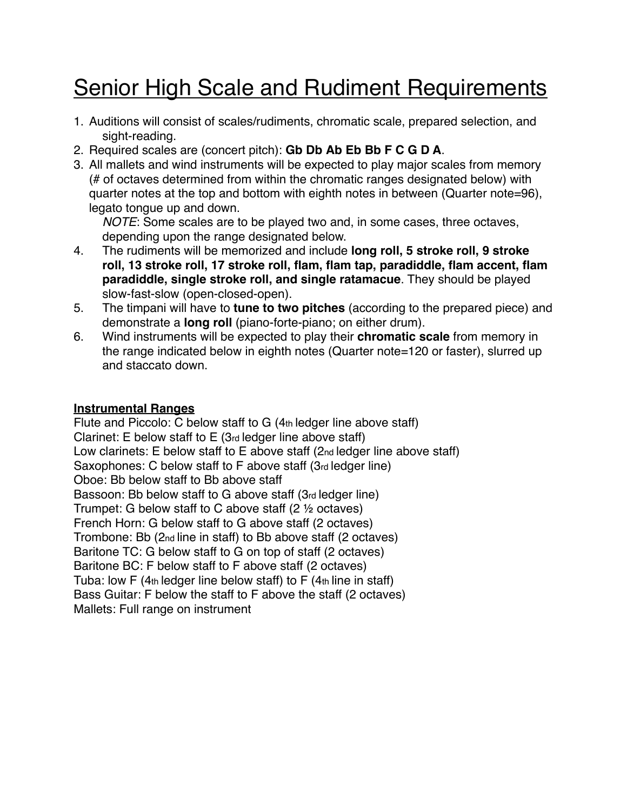# **Senior High Scale and Rudiment Requirements**

- 1. Auditions will consist of scales/rudiments, chromatic scale, prepared selection, and sight-reading.
- 2. Required scales are (concert pitch): **Gb Db Ab Eb Bb F C G D A**.
- 3. All mallets and wind instruments will be expected to play major scales from memory (# of octaves determined from within the chromatic ranges designated below) with quarter notes at the top and bottom with eighth notes in between (Quarter note=96), legato tongue up and down.

*NOTE*: Some scales are to be played two and, in some cases, three octaves, depending upon the range designated below.

- 4. The rudiments will be memorized and include **long roll, 5 stroke roll, 9 stroke roll, 13 stroke roll, 17 stroke roll, flam, flam tap, paradiddle, flam accent, flam paradiddle, single stroke roll, and single ratamacue**. They should be played slow-fast-slow (open-closed-open).
- 5. The timpani will have to **tune to two pitches** (according to the prepared piece) and demonstrate a **long roll** (piano-forte-piano; on either drum).
- 6. Wind instruments will be expected to play their **chromatic scale** from memory in the range indicated below in eighth notes (Quarter note=120 or faster), slurred up and staccato down.

#### **Instrumental Ranges**

Flute and Piccolo: C below staff to G (4th ledger line above staff) Clarinet: E below staff to E (3rd ledger line above staff) Low clarinets: E below staff to E above staff (2nd ledger line above staff) Saxophones: C below staff to F above staff (3rd ledger line) Oboe: Bb below staff to Bb above staff Bassoon: Bb below staff to G above staff (3rd ledger line) Trumpet: G below staff to C above staff (2 ½ octaves) French Horn: G below staff to G above staff (2 octaves) Trombone: Bb (2nd line in staff) to Bb above staff (2 octaves) Baritone TC: G below staff to G on top of staff (2 octaves) Baritone BC: F below staff to F above staff (2 octaves) Tuba: low  $F(4<sub>th</sub>$  ledger line below staff) to  $F(4<sub>th</sub>$  line in staff) Bass Guitar: F below the staff to F above the staff (2 octaves) Mallets: Full range on instrument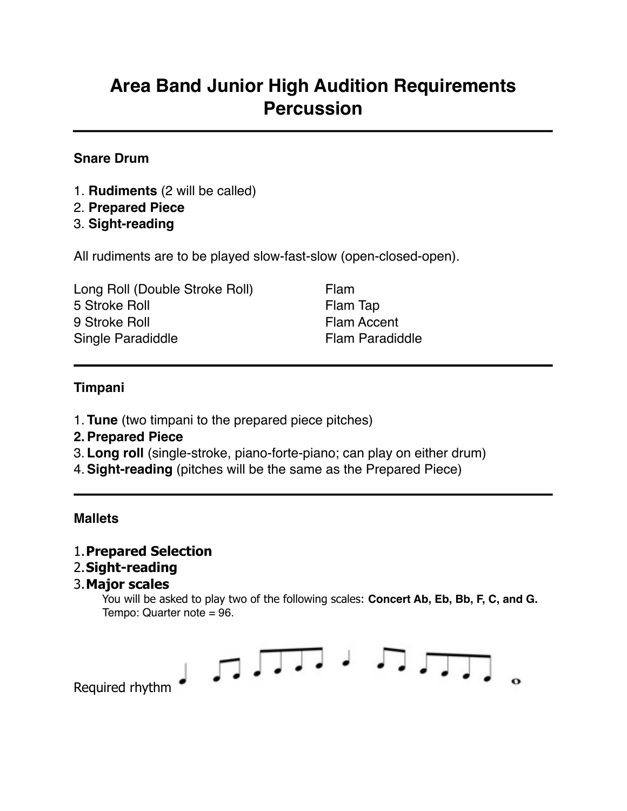### **Area Band Junior High Audition Requirements Percussion**

#### **Snare Drum**

- 1. **Rudiments** (2 will be called)
- 2. **Prepared Piece**
- 3. **Sight-reading**

All rudiments are to be played slow-fast-slow (open-closed-open).

| Long Roll (Double Stroke Roll) |
|--------------------------------|
| 5 Stroke Roll                  |
| 9 Stroke Roll                  |
| Single Paradiddle              |

Flam Flam Tap Flam Accent Flam Paradiddle

#### **Timpani**

- 1. **Tune** (two timpani to the prepared piece pitches)
- **2.Prepared Piece**
- 3. **Long roll** (single-stroke, piano-forte-piano; can play on either drum)
- 4.**Sight-reading** (pitches will be the same as the Prepared Piece)

#### **Mallets**

#### 1.**Prepared Selection**

#### 2.**Sight-reading**

#### 3.**Major scales**

You will be asked to play two of the following scales: **Concert Ab, Eb, Bb, F, C, and G.**  Tempo: Quarter note = 96.